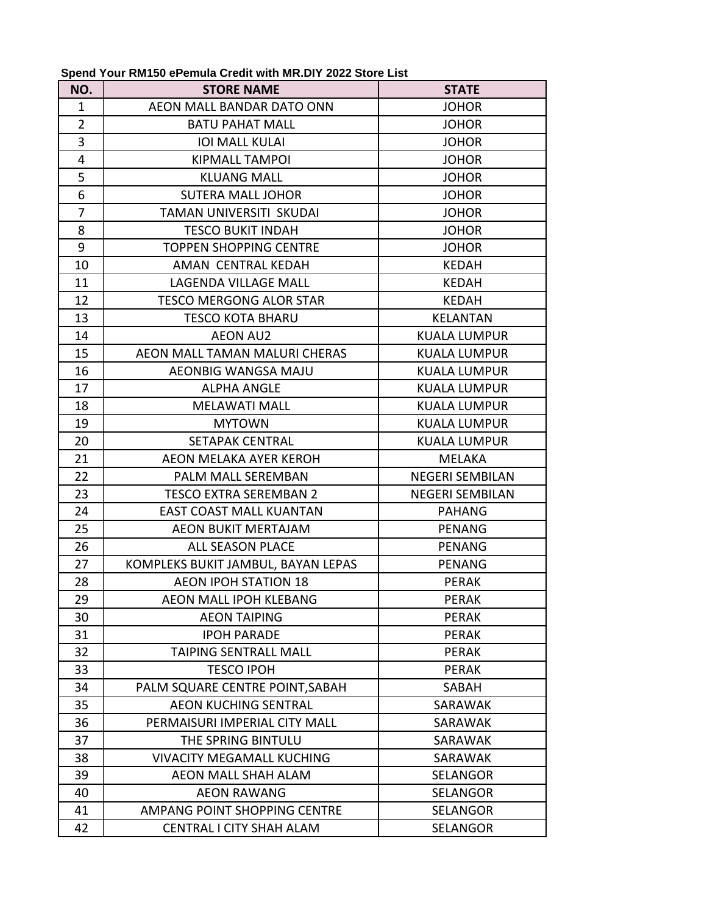| NO.            | <b>STORE NAME</b>                  | <b>STATE</b>           |
|----------------|------------------------------------|------------------------|
| $\mathbf{1}$   | AEON MALL BANDAR DATO ONN          | <b>JOHOR</b>           |
| $\overline{2}$ | <b>BATU PAHAT MALL</b>             | <b>JOHOR</b>           |
| 3              | <b>IOI MALL KULAI</b>              | <b>JOHOR</b>           |
| 4              | <b>KIPMALL TAMPOI</b>              | <b>JOHOR</b>           |
| 5              | <b>KLUANG MALL</b>                 | <b>JOHOR</b>           |
| 6              | <b>SUTERA MALL JOHOR</b>           | <b>JOHOR</b>           |
| 7              | TAMAN UNIVERSITI SKUDAI            | <b>JOHOR</b>           |
| 8              | <b>TESCO BUKIT INDAH</b>           | <b>JOHOR</b>           |
| 9              | <b>TOPPEN SHOPPING CENTRE</b>      | <b>JOHOR</b>           |
| 10             | AMAN CENTRAL KEDAH                 | <b>KEDAH</b>           |
| 11             | LAGENDA VILLAGE MALL               | <b>KEDAH</b>           |
| 12             | <b>TESCO MERGONG ALOR STAR</b>     | <b>KEDAH</b>           |
| 13             | <b>TESCO KOTA BHARU</b>            | <b>KELANTAN</b>        |
| 14             | <b>AEON AU2</b>                    | <b>KUALA LUMPUR</b>    |
| 15             | AEON MALL TAMAN MALURI CHERAS      | <b>KUALA LUMPUR</b>    |
| 16             | AEONBIG WANGSA MAJU                | <b>KUALA LUMPUR</b>    |
| 17             | <b>ALPHA ANGLE</b>                 | <b>KUALA LUMPUR</b>    |
| 18             | <b>MELAWATI MALL</b>               | <b>KUALA LUMPUR</b>    |
| 19             | <b>MYTOWN</b>                      | <b>KUALA LUMPUR</b>    |
| 20             | <b>SETAPAK CENTRAL</b>             | <b>KUALA LUMPUR</b>    |
| 21             | AEON MELAKA AYER KEROH             | <b>MELAKA</b>          |
| 22             | PALM MALL SEREMBAN                 | <b>NEGERI SEMBILAN</b> |
| 23             | <b>TESCO EXTRA SEREMBAN 2</b>      | <b>NEGERI SEMBILAN</b> |
| 24             | <b>EAST COAST MALL KUANTAN</b>     | <b>PAHANG</b>          |
| 25             | <b>AEON BUKIT MERTAJAM</b>         | <b>PENANG</b>          |
| 26             | <b>ALL SEASON PLACE</b>            | <b>PENANG</b>          |
| 27             | KOMPLEKS BUKIT JAMBUL, BAYAN LEPAS | <b>PENANG</b>          |
| 28             | <b>AEON IPOH STATION 18</b>        | <b>PERAK</b>           |
| 29             | <b>AEON MALL IPOH KLEBANG</b>      | <b>PERAK</b>           |
| 30             | <b>AEON TAIPING</b>                | <b>PERAK</b>           |
| 31             | <b>IPOH PARADE</b>                 | <b>PERAK</b>           |
| 32             | <b>TAIPING SENTRALL MALL</b>       | <b>PERAK</b>           |
| 33             | TESCO IPOH                         | <b>PERAK</b>           |
| 34             | PALM SQUARE CENTRE POINT, SABAH    | SABAH                  |
| 35             | <b>AEON KUCHING SENTRAL</b>        | SARAWAK                |
| 36             | PERMAISURI IMPERIAL CITY MALL      | SARAWAK                |
| 37             | THE SPRING BINTULU                 | <b>SARAWAK</b>         |
| 38             | <b>VIVACITY MEGAMALL KUCHING</b>   | SARAWAK                |
| 39             | AEON MALL SHAH ALAM                | SELANGOR               |
| 40             | <b>AEON RAWANG</b>                 | <b>SELANGOR</b>        |
| 41             | AMPANG POINT SHOPPING CENTRE       | <b>SELANGOR</b>        |
| 42             | <b>CENTRAL I CITY SHAH ALAM</b>    | SELANGOR               |

**Spend Your RM150 ePemula Credit with MR.DIY 2022 Store List**